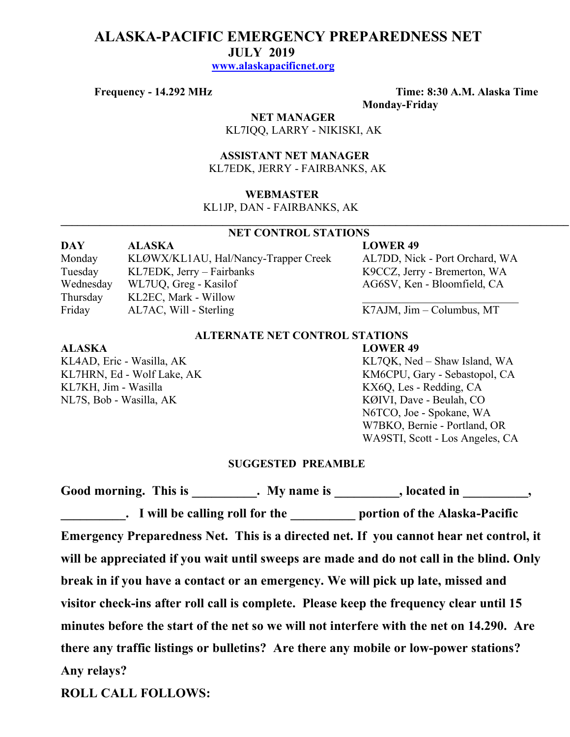# **ALASKA-PACIFIC EMERGENCY PREPAREDNESS NET JULY 2019 www.alaskapacificnet.org**

**Frequency - 14.292 MHz Time: 8:30 A.M. Alaska Time Monday-Friday**

# **NET MANAGER**

KL7IQQ, LARRY - NIKISKI, AK

#### **ASSISTANT NET MANAGER**  KL7EDK, JERRY - FAIRBANKS, AK

### **WEBMASTER**

KL1JP, DAN - FAIRBANKS, AK

# **NET CONTROL STATIONS**

 $\mathcal{L}_\mathcal{L} = \{ \mathcal{L}_\mathcal{L} = \{ \mathcal{L}_\mathcal{L} = \{ \mathcal{L}_\mathcal{L} = \{ \mathcal{L}_\mathcal{L} = \{ \mathcal{L}_\mathcal{L} = \{ \mathcal{L}_\mathcal{L} = \{ \mathcal{L}_\mathcal{L} = \{ \mathcal{L}_\mathcal{L} = \{ \mathcal{L}_\mathcal{L} = \{ \mathcal{L}_\mathcal{L} = \{ \mathcal{L}_\mathcal{L} = \{ \mathcal{L}_\mathcal{L} = \{ \mathcal{L}_\mathcal{L} = \{ \mathcal{L}_\mathcal{$ 

### **DAY ALASKA LOWER 49**

Monday KLØWX/KL1AU, Hal/Nancy-Trapper Creek AL7DD, Nick - Port Orchard, WA Tuesday KL7EDK, Jerry – Fairbanks K9CCZ, Jerry - Bremerton, WA Wednesday WL7UQ, Greg - Kasilof AG6SV, Ken - Bloomfield, CA

Friday AL7AC, Will - Sterling K7AJM, Jim – Columbus, MT

## **ALTERNATE NET CONTROL STATIONS**

#### **ALASKA LOWER 49**

KL7KH, Jim - Wasilla **KX6Q, Les - Redding, CA** NL7S, Bob - Wasilla, AK KØIVI, Dave - Beulah, CO

Thursday KL2EC, Mark - Willow

KL4AD, Eric - Wasilla, AK KL7QK, Ned – Shaw Island, WA KL7HRN, Ed - Wolf Lake, AK KM6CPU, Gary - Sebastopol, CA N6TCO, Joe - Spokane, WA W7BKO, Bernie - Portland, OR WA9STI, Scott - Los Angeles, CA

#### **SUGGESTED PREAMBLE**

Good morning. This is This is the My name is the second in the second in the second in the second in the second in the second in the second in the second in the second in the second in the second in the second in the secon **Lacktriang 1 Solution 1 Solution 1 Solution 1 Solution 1 Solution 1 Solution 1 Solution 1 Solution 1 Solution 1 Solution 1 Solution 1 Solution 1 Solution 1 Solution 1 Solution 1 Solution 1 Solution 1 Solution 1 Solution 1 Emergency Preparedness Net. This is a directed net. If you cannot hear net control, it will be appreciated if you wait until sweeps are made and do not call in the blind. Only break in if you have a contact or an emergency. We will pick up late, missed and visitor check-ins after roll call is complete. Please keep the frequency clear until 15 minutes before the start of the net so we will not interfere with the net on 14.290. Are there any traffic listings or bulletins? Are there any mobile or low-power stations? Any relays?** 

**ROLL CALL FOLLOWS:**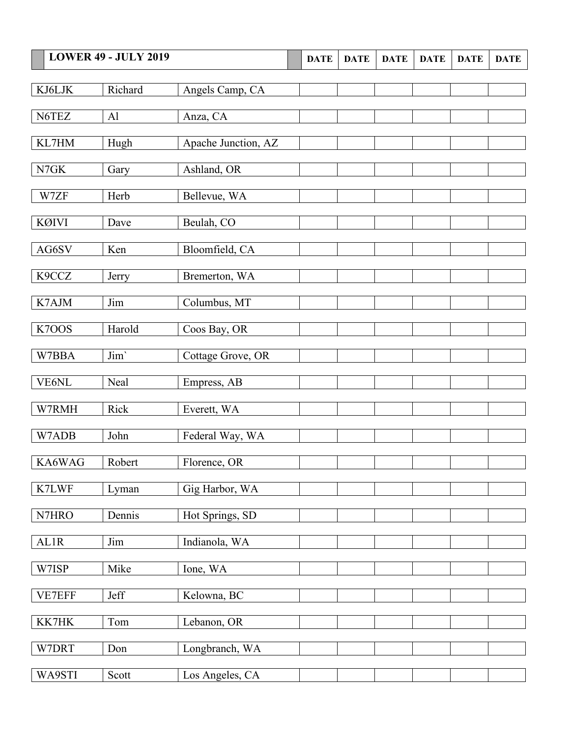|              | <b>LOWER 49 - JULY 2019</b> |                     | <b>DATE</b> | <b>DATE</b> | <b>DATE</b> | <b>DATE</b> | <b>DATE</b> | <b>DATE</b> |
|--------------|-----------------------------|---------------------|-------------|-------------|-------------|-------------|-------------|-------------|
|              |                             |                     |             |             |             |             |             |             |
| KJ6LJK       | Richard                     | Angels Camp, CA     |             |             |             |             |             |             |
| N6TEZ        | Al                          | Anza, CA            |             |             |             |             |             |             |
|              |                             |                     |             |             |             |             |             |             |
| KL7HM        | Hugh                        | Apache Junction, AZ |             |             |             |             |             |             |
| N7GK         | Gary                        | Ashland, OR         |             |             |             |             |             |             |
| W7ZF         | Herb                        |                     |             |             |             |             |             |             |
|              |                             | Bellevue, WA        |             |             |             |             |             |             |
| <b>KØIVI</b> | Dave                        | Beulah, CO          |             |             |             |             |             |             |
| AG6SV        | Ken                         | Bloomfield, CA      |             |             |             |             |             |             |
|              |                             |                     |             |             |             |             |             |             |
| K9CCZ        | Jerry                       | Bremerton, WA       |             |             |             |             |             |             |
| K7AJM        | Jim                         | Columbus, MT        |             |             |             |             |             |             |
|              |                             |                     |             |             |             |             |             |             |
| K7OOS        | Harold                      | Coos Bay, OR        |             |             |             |             |             |             |
| W7BBA        | Jim'                        | Cottage Grove, OR   |             |             |             |             |             |             |
| VE6NL        | Neal                        | Empress, AB         |             |             |             |             |             |             |
|              |                             |                     |             |             |             |             |             |             |
| W7RMH        | Rick                        | Everett, WA         |             |             |             |             |             |             |
| W7ADB        | John                        | Federal Way, WA     |             |             |             |             |             |             |
|              |                             |                     |             |             |             |             |             |             |
| KA6WAG       | Robert                      | Florence, OR        |             |             |             |             |             |             |
| K7LWF        | Lyman                       | Gig Harbor, WA      |             |             |             |             |             |             |
|              |                             |                     |             |             |             |             |             |             |
| N7HRO        | Dennis                      | Hot Springs, SD     |             |             |             |             |             |             |
| AL1R         | Jim                         | Indianola, WA       |             |             |             |             |             |             |
| W7ISP        | Mike                        | Ione, WA            |             |             |             |             |             |             |
|              |                             |                     |             |             |             |             |             |             |
| VE7EFF       | Jeff                        | Kelowna, BC         |             |             |             |             |             |             |
| KK7HK        | Tom                         | Lebanon, OR         |             |             |             |             |             |             |
|              |                             |                     |             |             |             |             |             |             |
| W7DRT        | Don                         | Longbranch, WA      |             |             |             |             |             |             |
| WA9STI       | Scott                       | Los Angeles, CA     |             |             |             |             |             |             |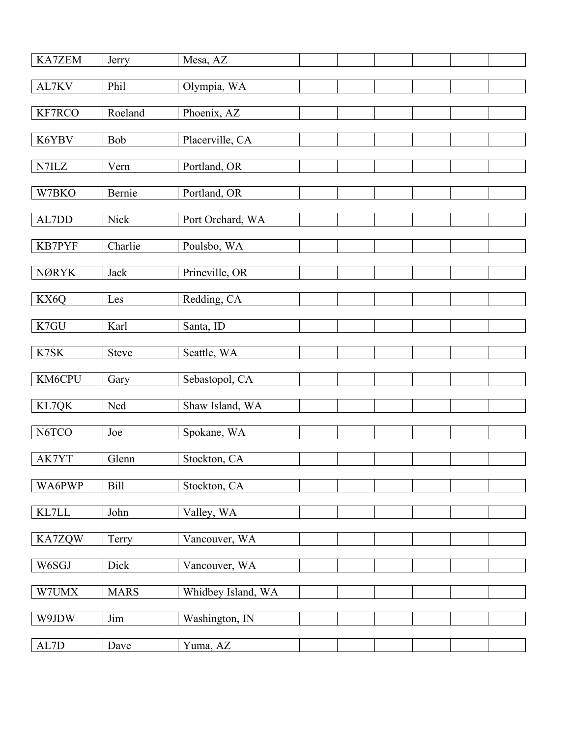| <b>KA7ZEM</b> | Jerry        | Mesa, AZ           |  |  |  |
|---------------|--------------|--------------------|--|--|--|
| AL7KV         | Phil         | Olympia, WA        |  |  |  |
| KF7RCO        | Roeland      | Phoenix, AZ        |  |  |  |
|               |              |                    |  |  |  |
| K6YBV         | Bob          | Placerville, CA    |  |  |  |
| N7ILZ         | Vern         | Portland, OR       |  |  |  |
| W7BKO         | Bernie       | Portland, OR       |  |  |  |
|               |              |                    |  |  |  |
| AL7DD         | <b>Nick</b>  | Port Orchard, WA   |  |  |  |
| KB7PYF        | Charlie      | Poulsbo, WA        |  |  |  |
| <b>NØRYK</b>  | Jack         | Prineville, OR     |  |  |  |
|               |              |                    |  |  |  |
| KX6Q          | Les          | Redding, CA        |  |  |  |
| K7GU          | Karl         | Santa, ID          |  |  |  |
| K7SK          | <b>Steve</b> | Seattle, WA        |  |  |  |
|               |              |                    |  |  |  |
| KM6CPU        | Gary         | Sebastopol, CA     |  |  |  |
| KL7QK         | Ned          | Shaw Island, WA    |  |  |  |
| N6TCO         | Joe          | Spokane, WA        |  |  |  |
| AK7YT         | Glenn        | Stockton, CA       |  |  |  |
|               |              |                    |  |  |  |
| WA6PWP        | <b>Bill</b>  | Stockton, CA       |  |  |  |
| KL7LL         | John         | Valley, WA         |  |  |  |
| KA7ZQW        | Terry        | Vancouver, WA      |  |  |  |
|               |              |                    |  |  |  |
| W6SGJ         | Dick         | Vancouver, WA      |  |  |  |
| W7UMX         | <b>MARS</b>  | Whidbey Island, WA |  |  |  |
| W9JDW         | Jim          | Washington, IN     |  |  |  |
|               |              |                    |  |  |  |
| $\mbox{AL7D}$ | Dave         | Yuma, AZ           |  |  |  |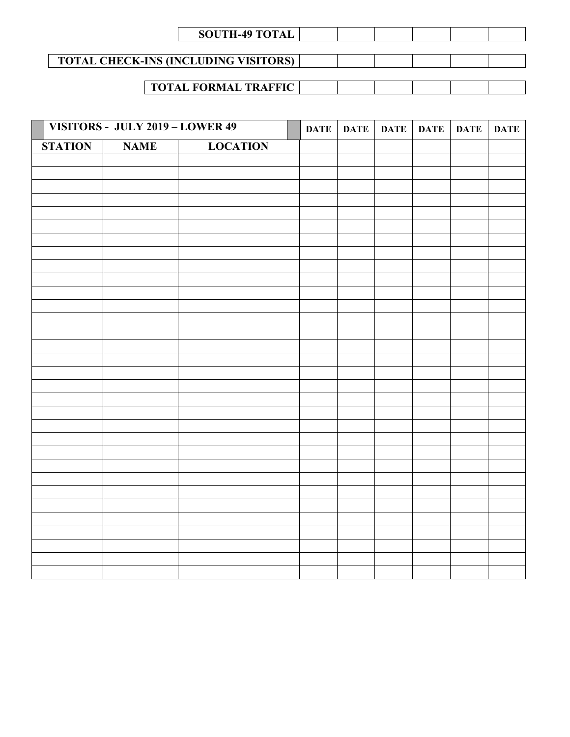| <b>SOUTH-49 TOTAL</b> |  |  |  |
|-----------------------|--|--|--|

**TOTAL CHECK-INS (INCLUDING VISITORS)**

# **TOTAL FORMAL TRAFFIC**

|                | VISITORS - JULY 2019 - LOWER 49 |                 | <b>DATE</b> | DATE DATE | <b>DATE</b> | <b>DATE</b> | <b>DATE</b> |
|----------------|---------------------------------|-----------------|-------------|-----------|-------------|-------------|-------------|
| <b>STATION</b> | <b>NAME</b>                     | <b>LOCATION</b> |             |           |             |             |             |
|                |                                 |                 |             |           |             |             |             |
|                |                                 |                 |             |           |             |             |             |
|                |                                 |                 |             |           |             |             |             |
|                |                                 |                 |             |           |             |             |             |
|                |                                 |                 |             |           |             |             |             |
|                |                                 |                 |             |           |             |             |             |
|                |                                 |                 |             |           |             |             |             |
|                |                                 |                 |             |           |             |             |             |
|                |                                 |                 |             |           |             |             |             |
|                |                                 |                 |             |           |             |             |             |
|                |                                 |                 |             |           |             |             |             |
|                |                                 |                 |             |           |             |             |             |
|                |                                 |                 |             |           |             |             |             |
|                |                                 |                 |             |           |             |             |             |
|                |                                 |                 |             |           |             |             |             |
|                |                                 |                 |             |           |             |             |             |
|                |                                 |                 |             |           |             |             |             |
|                |                                 |                 |             |           |             |             |             |
|                |                                 |                 |             |           |             |             |             |
|                |                                 |                 |             |           |             |             |             |
|                |                                 |                 |             |           |             |             |             |
|                |                                 |                 |             |           |             |             |             |
|                |                                 |                 |             |           |             |             |             |
|                |                                 |                 |             |           |             |             |             |
|                |                                 |                 |             |           |             |             |             |
|                |                                 |                 |             |           |             |             |             |
|                |                                 |                 |             |           |             |             |             |
|                |                                 |                 |             |           |             |             |             |
|                |                                 |                 |             |           |             |             |             |
|                |                                 |                 |             |           |             |             |             |
|                |                                 |                 |             |           |             |             |             |
|                |                                 |                 |             |           |             |             |             |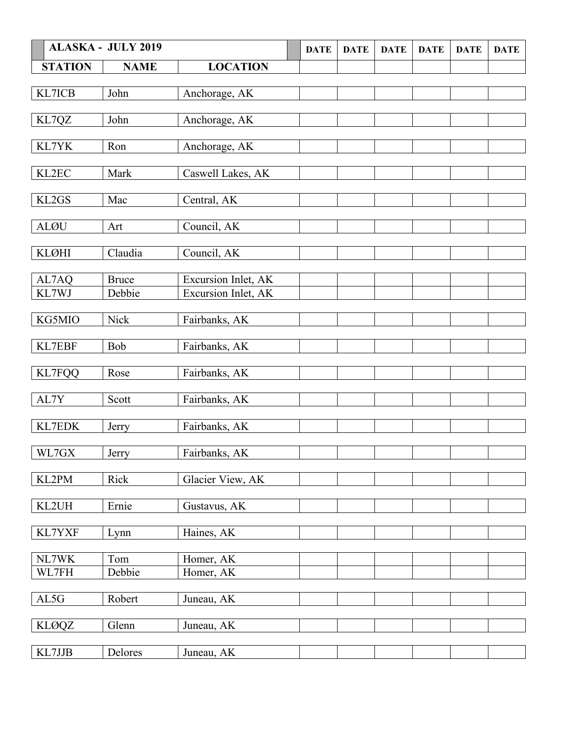|                | <b>ALASKA - JULY 2019</b> |                     | <b>DATE</b> | <b>DATE</b> | <b>DATE</b> | <b>DATE</b> | <b>DATE</b> | <b>DATE</b> |
|----------------|---------------------------|---------------------|-------------|-------------|-------------|-------------|-------------|-------------|
| <b>STATION</b> | <b>NAME</b>               | <b>LOCATION</b>     |             |             |             |             |             |             |
|                |                           |                     |             |             |             |             |             |             |
| KL7ICB         | John                      | Anchorage, AK       |             |             |             |             |             |             |
|                |                           |                     |             |             |             |             |             |             |
| KL7QZ          | John                      | Anchorage, AK       |             |             |             |             |             |             |
|                |                           |                     |             |             |             |             |             |             |
| KL7YK          | Ron                       | Anchorage, AK       |             |             |             |             |             |             |
| KL2EC          | Mark                      |                     |             |             |             |             |             |             |
|                |                           | Caswell Lakes, AK   |             |             |             |             |             |             |
| KL2GS          | Mac                       | Central, AK         |             |             |             |             |             |             |
|                |                           |                     |             |             |             |             |             |             |
| <b>ALØU</b>    | Art                       | Council, AK         |             |             |             |             |             |             |
|                |                           |                     |             |             |             |             |             |             |
| <b>KLØHI</b>   | Claudia                   | Council, AK         |             |             |             |             |             |             |
|                |                           |                     |             |             |             |             |             |             |
| AL7AQ          | <b>Bruce</b>              | Excursion Inlet, AK |             |             |             |             |             |             |
| KL7WJ          | Debbie                    | Excursion Inlet, AK |             |             |             |             |             |             |
|                |                           |                     |             |             |             |             |             |             |
| KG5MIO         | Nick                      | Fairbanks, AK       |             |             |             |             |             |             |
| KL7EBF         | Bob                       | Fairbanks, AK       |             |             |             |             |             |             |
|                |                           |                     |             |             |             |             |             |             |
| <b>KL7FQQ</b>  | Rose                      | Fairbanks, AK       |             |             |             |             |             |             |
|                |                           |                     |             |             |             |             |             |             |
| AL7Y           | Scott                     | Fairbanks, AK       |             |             |             |             |             |             |
|                |                           |                     |             |             |             |             |             |             |
| KL7EDK         | Jerry                     | Fairbanks, AK       |             |             |             |             |             |             |
|                |                           |                     |             |             |             |             |             |             |
| WL7GX          | Jerry                     | Fairbanks, AK       |             |             |             |             |             |             |
|                |                           |                     |             |             |             |             |             |             |
| KL2PM          | Rick                      | Glacier View, AK    |             |             |             |             |             |             |
| KL2UH          | Ernie                     | Gustavus, AK        |             |             |             |             |             |             |
|                |                           |                     |             |             |             |             |             |             |
| KL7YXF         | Lynn                      | Haines, AK          |             |             |             |             |             |             |
|                |                           |                     |             |             |             |             |             |             |
| NL7WK          | Tom                       | Homer, AK           |             |             |             |             |             |             |
| WL7FH          | Debbie                    | Homer, AK           |             |             |             |             |             |             |
|                |                           |                     |             |             |             |             |             |             |
| AL5G           | Robert                    | Juneau, AK          |             |             |             |             |             |             |
|                |                           |                     |             |             |             |             |             |             |
| <b>KLØQZ</b>   | Glenn                     | Juneau, AK          |             |             |             |             |             |             |
|                |                           |                     |             |             |             |             |             |             |
| KL7JJB         | Delores                   | Juneau, AK          |             |             |             |             |             |             |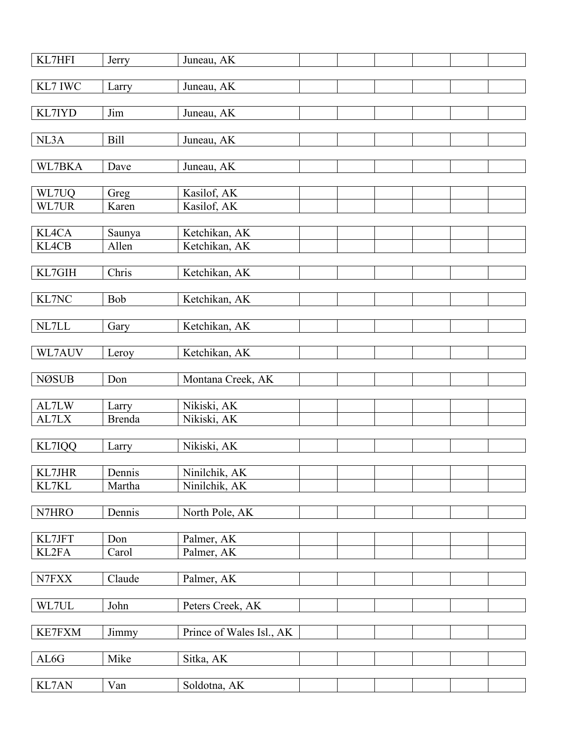| KL7HFI        | Jerry           | Juneau, AK                     |  |  |  |
|---------------|-----------------|--------------------------------|--|--|--|
| KL7 IWC       | Larry           | Juneau, AK                     |  |  |  |
| KL7IYD        | Jim             | Juneau, AK                     |  |  |  |
|               |                 |                                |  |  |  |
| NL3A          | <b>Bill</b>     | Juneau, AK                     |  |  |  |
| WL7BKA        | Dave            | Juneau, AK                     |  |  |  |
| WL7UQ         | Greg            | Kasilof, AK                    |  |  |  |
| WL7UR         | Karen           | Kasilof, AK                    |  |  |  |
| KL4CA         |                 |                                |  |  |  |
| KL4CB         | Saunya<br>Allen | Ketchikan, AK<br>Ketchikan, AK |  |  |  |
|               |                 |                                |  |  |  |
| KL7GIH        | Chris           | Ketchikan, AK                  |  |  |  |
| KL7NC         | Bob             | Ketchikan, AK                  |  |  |  |
|               |                 |                                |  |  |  |
| NL7LL         | Gary            | Ketchikan, AK                  |  |  |  |
| WL7AUV        | Leroy           | Ketchikan, AK                  |  |  |  |
| <b>NØSUB</b>  | Don             | Montana Creek, AK              |  |  |  |
|               |                 |                                |  |  |  |
| AL7LW         | Larry           | Nikiski, AK                    |  |  |  |
| AL7LX         | <b>Brenda</b>   | Nikiski, AK                    |  |  |  |
| KL7IQQ        | Larry           | Nikiski, AK                    |  |  |  |
|               |                 |                                |  |  |  |
| KL7JHR        | Dennis          | Ninilchik, AK                  |  |  |  |
| KL7KL         | Martha          | Ninilchik, AK                  |  |  |  |
| N7HRO         | Dennis          | North Pole, AK                 |  |  |  |
|               |                 |                                |  |  |  |
| KL7JFT        | Don             | Palmer, AK                     |  |  |  |
| KL2FA         | Carol           | Palmer, AK                     |  |  |  |
| N7FXX         | Claude          | Palmer, AK                     |  |  |  |
|               |                 |                                |  |  |  |
| WL7UL         | John            | Peters Creek, AK               |  |  |  |
| <b>KE7FXM</b> | Jimmy           | Prince of Wales Isl., AK       |  |  |  |
|               |                 |                                |  |  |  |
| AL6G          | Mike            | Sitka, AK                      |  |  |  |
| KL7AN         | Van             | Soldotna, AK                   |  |  |  |
|               |                 |                                |  |  |  |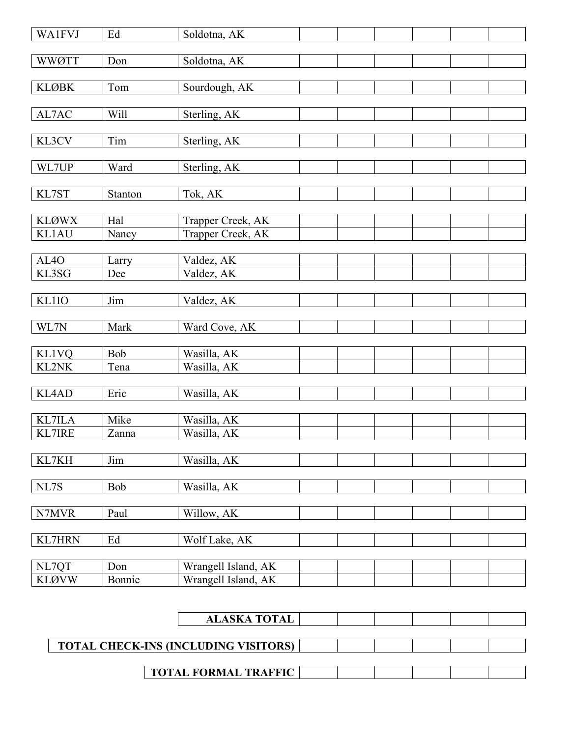| <b>WA1FVJ</b>                  | Ed            | Soldotna, AK               |  |  |  |
|--------------------------------|---------------|----------------------------|--|--|--|
|                                |               |                            |  |  |  |
| <b>WWØTT</b>                   | Don           | Soldotna, AK               |  |  |  |
| <b>KLØBK</b>                   | Tom           | Sourdough, AK              |  |  |  |
|                                |               |                            |  |  |  |
| AL7AC                          | Will          | Sterling, AK               |  |  |  |
|                                |               |                            |  |  |  |
| KL3CV                          | Tim           | Sterling, AK               |  |  |  |
| WL7UP                          | Ward          | Sterling, AK               |  |  |  |
|                                |               |                            |  |  |  |
| KL7ST                          | Stanton       | Tok, AK                    |  |  |  |
|                                |               |                            |  |  |  |
| <b>KLØWX</b>                   | Hal           | Trapper Creek, AK          |  |  |  |
| <b>KL1AU</b>                   | Nancy         | Trapper Creek, AK          |  |  |  |
| AL <sub>4</sub> O              | Larry         | Valdez, AK                 |  |  |  |
| KL3SG                          | Dee           | Valdez, AK                 |  |  |  |
|                                |               |                            |  |  |  |
| <b>KL1IO</b>                   | Jim           | Valdez, AK                 |  |  |  |
|                                |               |                            |  |  |  |
| WL7N                           | Mark          | Ward Cove, AK              |  |  |  |
| <b>KL1VQ</b>                   | <b>Bob</b>    | Wasilla, AK                |  |  |  |
| KL2NK                          | Tena          | Wasilla, AK                |  |  |  |
|                                |               |                            |  |  |  |
| KL4AD                          | Eric          | Wasilla, AK                |  |  |  |
|                                |               |                            |  |  |  |
| <b>KL7ILA</b><br><b>KL7IRE</b> | Mike<br>Zanna | Wasilla, AK<br>Wasilla, AK |  |  |  |
|                                |               |                            |  |  |  |
| KL7KH                          | Jim           | Wasilla, AK                |  |  |  |
|                                |               |                            |  |  |  |
| NL7S                           | Bob           | Wasilla, AK                |  |  |  |
|                                |               |                            |  |  |  |
| N7MVR                          | Paul          | Willow, AK                 |  |  |  |
| <b>KL7HRN</b>                  | Ed            | Wolf Lake, AK              |  |  |  |
|                                |               |                            |  |  |  |
| NL7QT                          | Don           | Wrangell Island, AK        |  |  |  |
| <b>KLØVW</b>                   | Bonnie        | Wrangell Island, AK        |  |  |  |

|                                             | <b>ALASKA TOTAL</b>         |  |  |  |
|---------------------------------------------|-----------------------------|--|--|--|
|                                             |                             |  |  |  |
| <b>TOTAL CHECK-INS (INCLUDING VISITORS)</b> |                             |  |  |  |
|                                             |                             |  |  |  |
|                                             | <b>TOTAL FORMAL TRAFFIC</b> |  |  |  |
|                                             |                             |  |  |  |